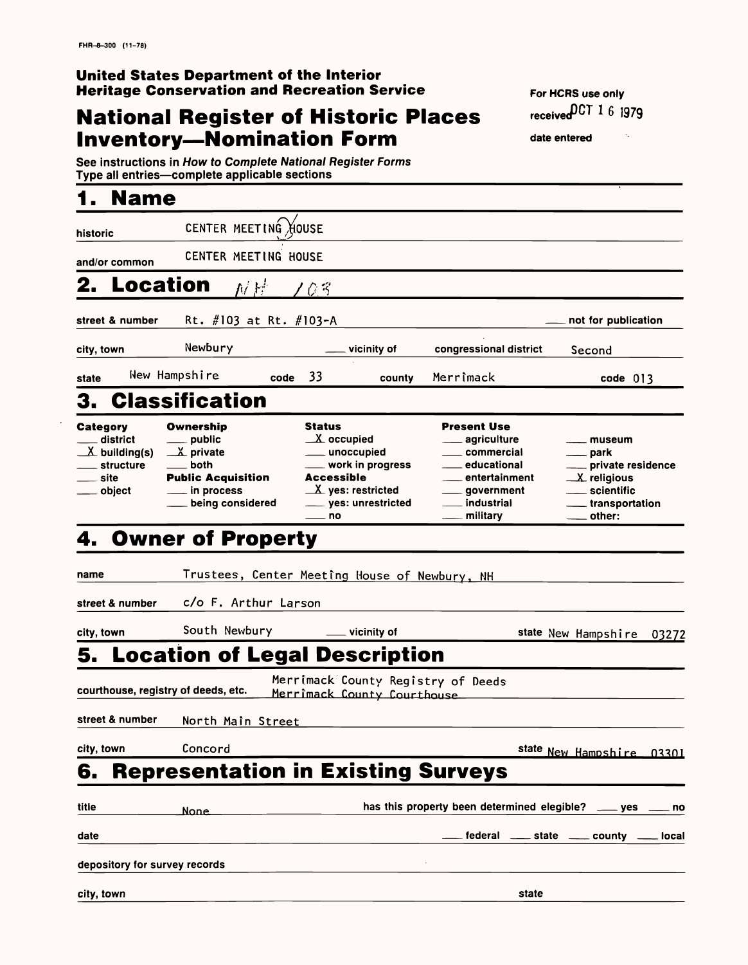## **National Register of Historic Places Inventory-Nomination Form**

#### **United States Department of the Interior Heritage Conservation and Recreation Service**

See instructions in How to Complete National Register Forms Type all entries—complete applicable sections

## **1. Name**

**For HCRS use only received007"** 1 **6** 1979

 $\gamma_{\star}$ 

**date entered**

| historic                                                                                  | CENTER MEETING HOUSE                                                                                                      |                                                                                                                                                                           |                                                                                                                                                               |                                                                                                          |
|-------------------------------------------------------------------------------------------|---------------------------------------------------------------------------------------------------------------------------|---------------------------------------------------------------------------------------------------------------------------------------------------------------------------|---------------------------------------------------------------------------------------------------------------------------------------------------------------|----------------------------------------------------------------------------------------------------------|
| and/or common                                                                             | CENTER MEETING HOUSE                                                                                                      |                                                                                                                                                                           |                                                                                                                                                               |                                                                                                          |
| <b>Location</b><br>2.                                                                     | 对异                                                                                                                        | $C\lesssim$                                                                                                                                                               |                                                                                                                                                               |                                                                                                          |
| street & number                                                                           | Rt. $\#103$ at Rt. $\#103-A$                                                                                              |                                                                                                                                                                           |                                                                                                                                                               | not for publication                                                                                      |
| city, town                                                                                | Newbury                                                                                                                   | vicinity of                                                                                                                                                               | congressional district                                                                                                                                        | Second                                                                                                   |
| state                                                                                     | New Hampshire<br>code                                                                                                     | 33<br>county                                                                                                                                                              | Merrimack                                                                                                                                                     | code 013                                                                                                 |
| 3.                                                                                        | <b>Classification</b>                                                                                                     |                                                                                                                                                                           |                                                                                                                                                               |                                                                                                          |
| <b>Category</b><br>district<br>$\underline{X}$ building(s)<br>structure<br>site<br>object | <b>Ownership</b><br>public<br>$\mathbb{Z}$ private<br>both<br><b>Public Acquisition</b><br>in process<br>being considered | <b>Status</b><br>$X$ occupied<br>unoccupied<br>work in progress<br><b>Accessible</b><br>$\underline{\mathbf{X}}$ yes: restricted<br>____ yes: unrestricted<br>$\equiv$ no | <b>Present Use</b><br>agriculture<br>commercial<br>educational<br>$\mathcal{L}^{\mathcal{L}}$<br>entertainment<br>government<br><b>industrial</b><br>military | museum<br>park<br>private residence<br>$\mathcal{X}$ religious<br>scientific<br>transportation<br>other: |
| 4.                                                                                        | <b>Owner of Property</b>                                                                                                  |                                                                                                                                                                           |                                                                                                                                                               |                                                                                                          |
| name                                                                                      |                                                                                                                           | Trustees, Center Meeting House of Newbury, NH                                                                                                                             |                                                                                                                                                               |                                                                                                          |
| street & number                                                                           | c/o F. Arthur Larson                                                                                                      |                                                                                                                                                                           |                                                                                                                                                               |                                                                                                          |
| city, town                                                                                | South Newbury                                                                                                             | vicinity of                                                                                                                                                               |                                                                                                                                                               | state New Hampshire<br>03272                                                                             |
| 5.                                                                                        | <b>Location of Legal Description</b>                                                                                      |                                                                                                                                                                           |                                                                                                                                                               |                                                                                                          |
|                                                                                           |                                                                                                                           | Merrimack County Registry of Deeds                                                                                                                                        |                                                                                                                                                               |                                                                                                          |

**courthouse, registry of deeds, etc.** Merrimack County C

#### **street & number** North Main Street

| city, town | Concord     | state New Hampshire 03301                                              |
|------------|-------------|------------------------------------------------------------------------|
|            |             | <b>6. Representation in Existing Surveys</b>                           |
| title      | <b>None</b> | has this property been determined elegible? ____ yes ____ no           |
| date       |             | $\epsilon$ federal $\epsilon$ state $\epsilon$ county $\epsilon$ local |

| depository for survey records |  |  |
|-------------------------------|--|--|
|-------------------------------|--|--|

| city, town<br>state |
|---------------------|
|---------------------|

 $\langle \cdot \rangle$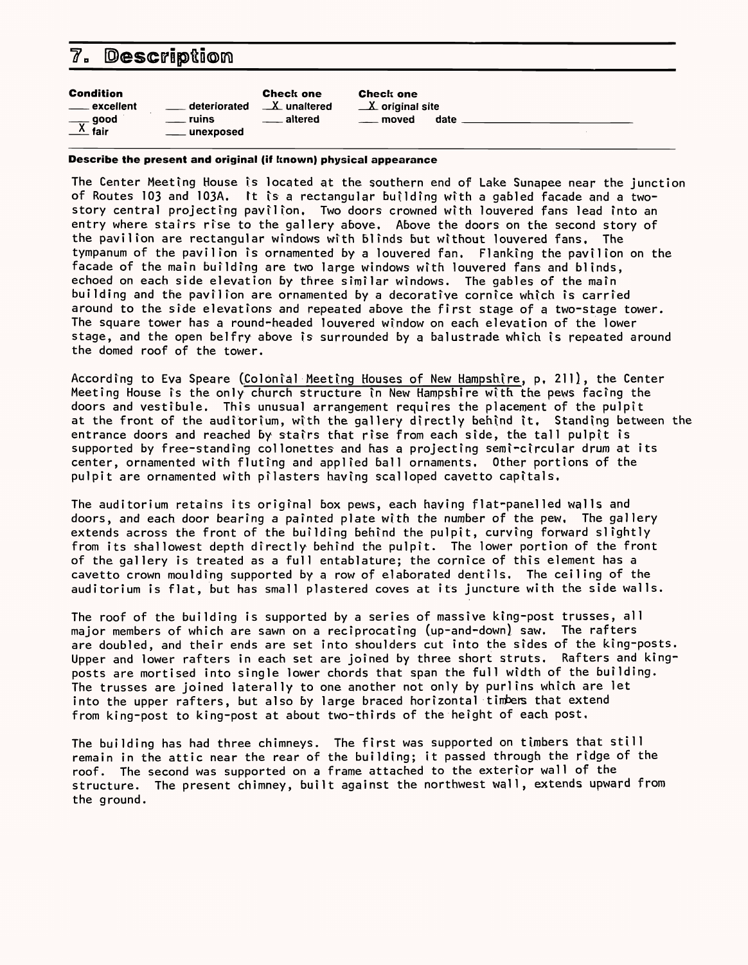#### 7. Description

| unexposed | <b>Condition</b><br>deteriorated<br>___ excellent<br>$\frac{1}{\sqrt{1-x}}$ fair<br>ruins | <b>Check one</b><br>$\mathbf{X}$ unaltered<br>altered | <b>Check one</b><br>$\mathbf{X}$ original site<br>date<br>moved |  |  |
|-----------|-------------------------------------------------------------------------------------------|-------------------------------------------------------|-----------------------------------------------------------------|--|--|
|-----------|-------------------------------------------------------------------------------------------|-------------------------------------------------------|-----------------------------------------------------------------|--|--|

**Describe the present and original (if known) physical appearance**

The Center Meeting House is located at the southern end of Lake Sunapee near the junction of Routes 103 and 103A. It is a rectangular building with a gabled facade and a twostory central projecting pavilion. Two doors crowned with louvered fans lead into an entry where stairs rise to the gallery above. Above the doors on the second story of the pavilion are rectangular windows with blinds but without louvered fans. The tympanum of the pavilion is ornamented by a louvered fan. Flanking the pavilion on the facade of the main building are two large windows with louvered fans and blinds, echoed on each side elevation by three similar windows. The gables of the main building and the pavilion are ornamented by a decorative cornice which is carried around to the side elevations and repeated above the first stage of a two-stage tower. The square tower has a round-headed louvered window on each elevation of the lower stage, and the open belfry above is surrounded by a balustrade which is repeated around the domed roof of the tower.

According to Eva Speare (Colonial Meeting Houses of New Hampshire, p. 211), the Center Meeting House is the only church structure in New Hampshire with the pews facfng the doors and vestibule. This unusual arrangement requires the placement of the pulpit at the front of the auditorium, with the gallery directly behind it. Standing between the entrance doors and reached by stairs that rise from each side, the tall pulpit is supported by free-standing collonettes and has a projecting semi-circular drum at its center, ornamented with fluting and applied ball ornaments. Other portions of the pulpit are ornamented with pilasters having scalloped cavetto capitals.

The auditorium retains its original box pews, each having flat-panelled walls and doors, and each door bearing a painted plate with the number of the pew, The gallery extends across the front of the building behind the pulpit, curving forward slightly from its shallowest depth directly behind the pulpit. The lower portion of the front of the gallery is treated as a full entablature; the cornice of this element has a cavetto crown moulding supported by a row of elaborated dentils. The ceiling of the auditorium is flat, but has small plastered coves at its juncture with the side walls.

The roof of the building is supported by a series of massive king-post trusses, all major members of which are sawn on a reciprocating (up-and-down) saw. The rafters are doubled, and their ends are set into shoulders cut into the sides of the king-posts. Upper and lower rafters in each set are joined by three short struts. Rafters and kingposts are mortised into single lower chords that span the full width of the building. The trusses are joined laterally to one another not only by purlins which are let

into the upper rafters, but also by large braced horizontal timbers that extend from king-post to king-post at about two-thirds of the height of each post,

The building has had three chimneys. The first was supported on timbers that still remain in the attic near the rear of the building; it passed through the ridge of the roof. The second was supported on a frame attached to the exterior wall of the structure. The present chimney, built against the northwest wall, extends upward from the ground.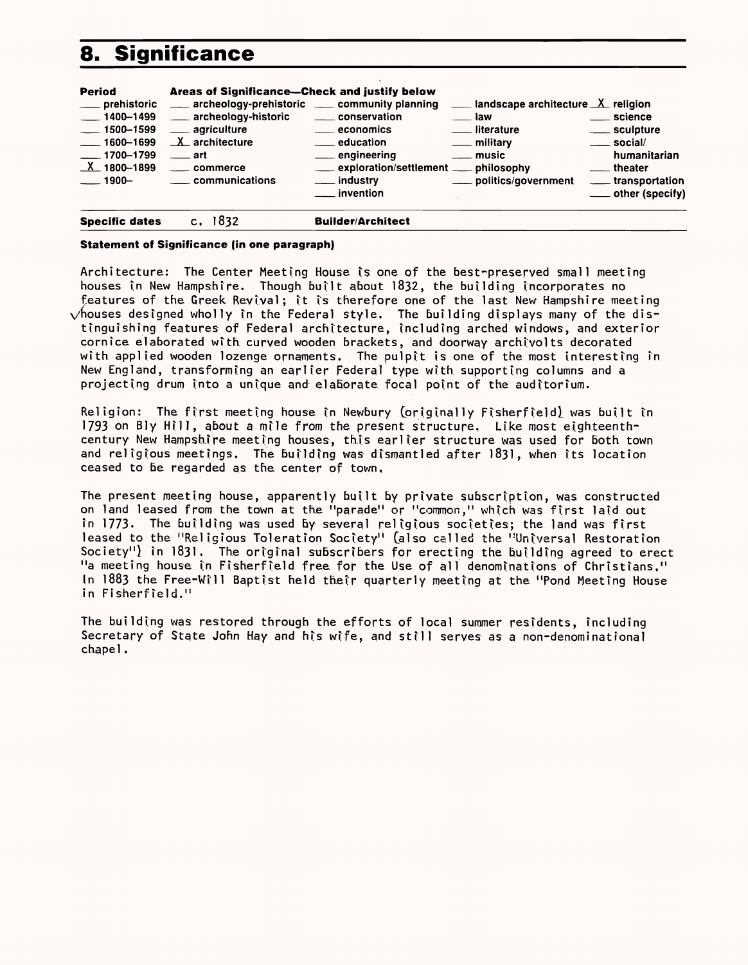## **8. Significance**

| <b>Period</b><br>___ prehistoric<br>$\frac{1}{2}$ 1400-1499<br>$\frac{1}{2}$ 1500–1599<br>$- 1600 - 1699$<br>$- 1700 - 1799$<br>$X_{-}$ 1800-1899<br>$-1900-$ | Areas of Significance-Check and justify below<br>archeology-prehistoric __ community planning<br>___ archeology-historic<br><u>__</u> __ agriculture<br>$X$ architecture<br>$\equiv$ art<br>____ commerce<br>communications | landscape architecture $X$ religion<br>_____ conservation<br><b>law</b><br>____ economics<br>literature<br><u>Lation</u> education<br><u>_</u> __ military<br>__ engineering<br><u>_</u> __ music<br>___ exploration/settlement ___ philosophy<br>___ industry<br>____ politics/government<br>__ invention | <u>__</u> science<br>____ sculpture<br>$\rule{1em}{0.15mm}$ social/<br>humanitarian<br><u>_</u> __ theater<br><u>_</u> __ transportation<br>____ other (specify) |
|---------------------------------------------------------------------------------------------------------------------------------------------------------------|-----------------------------------------------------------------------------------------------------------------------------------------------------------------------------------------------------------------------------|------------------------------------------------------------------------------------------------------------------------------------------------------------------------------------------------------------------------------------------------------------------------------------------------------------|------------------------------------------------------------------------------------------------------------------------------------------------------------------|
| <b>Specific dates</b>                                                                                                                                         | 1832                                                                                                                                                                                                                        | <b>Builder/Architect</b>                                                                                                                                                                                                                                                                                   |                                                                                                                                                                  |

#### **Statement of Significance (in one paragraph)**

Architecture: The Center Meeting House is one of the best-preserved small meeting houses in New Hampshire. Though built about 1832, the building incorporates no features of the Greek Revival; it is therefore one of the last New Hampshire meeting  $\sqrt{\hbar}$  houses designed wholly in the Federal style. The building displays many of the distinguishing features of Federal architecture, Including arched windows, and exterior cornice elaborated with curved wooden brackets, and doorway archivolts decorated with applied wooden lozenge ornaments. The pulpit is one of the most interesting in New England, transforming an earlier Federal type with supporting columns and a projecting drum into a unique and elaborate focal point of the auditorium.

Religion: The first meeting house in Newbury (originally Fisherfield) was built in 1793 on Bly Hill, about a mile from the present structure, Like most eighteenthcentury New Hampshire meeting houses, this earlier structure was used for both town and religious meetings. The building was dismantled after 1831, when its location ceased to be regarded as the center of town.

The present meeting house, apparently built by private subscription, was constructed on land leased from the town at the "parade" or "common," which was first laid out in 1773. The building was used by several religious societies; the land was first leased to the "Religious Toleration Society" (also called the "Universal Restoration Society") in 1831 . The original subscribers for erecting the building agreed to erect " a meeting house In Fisherfleld free for the Use of all denominations of Christians," In 1883 the Free-Will Baptist held their quarterly meeting at the "Pond Meeting House in Fisherfield."

The building was restored through the efforts of local summer residents, including Secretary of State John Hay and his wife, and still serves as a non-denominational chapel,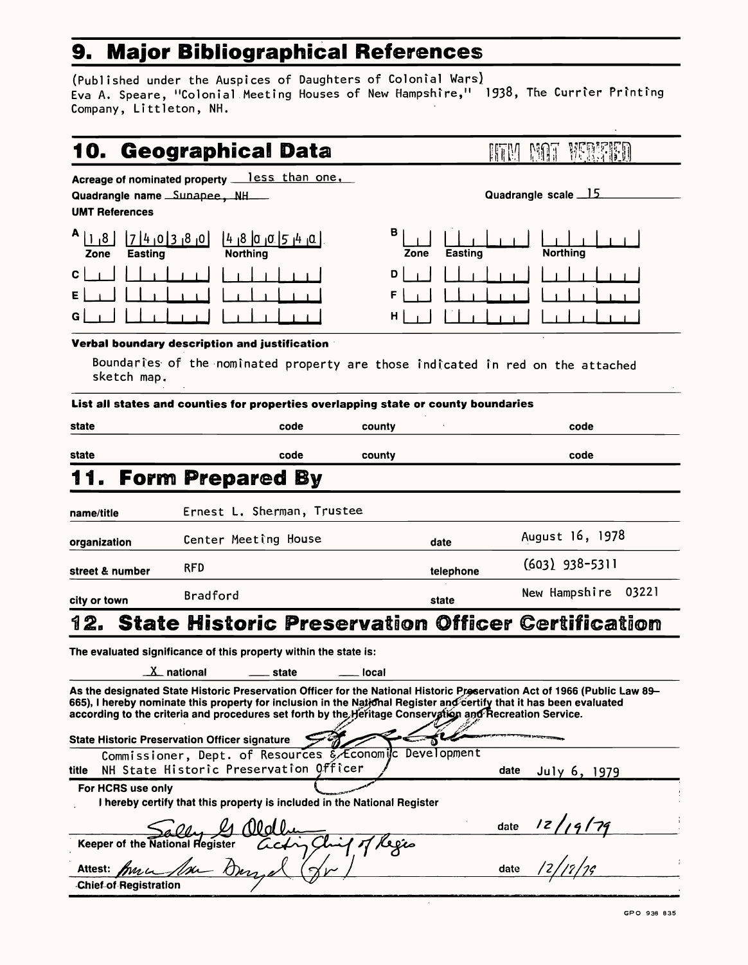## **9. Major Bibliographical References**

(Published under the Auspices of Daughters of Colonial Wars) Eva A. Speare, "Colonial Meeting Houses of New Hampshire," 1938, The Currier Printing Company, Littleton, NH.

|  | 10. Geographical Data |  |
|--|-----------------------|--|
|--|-----------------------|--|

Acreage of nominated property **less** than one,

Quadrangle name Sunapee, NH

| 8 <br>Zone   | 1740380<br><b>Easting</b>                                                                                       | 4 8 0 0 5 4 0 <br><b>Northing</b> |
|--------------|-----------------------------------------------------------------------------------------------------------------|-----------------------------------|
| $\mathbf{C}$ | $\begin{bmatrix} 1 & 1 & 1 \end{bmatrix}$                                                                       |                                   |
| E            | and the state of the state of the state of the state of the state of the state of the state of the state of the |                                   |
| G            | $1 \quad 1$                                                                                                     |                                   |

**UMT References**

| B<br>Zone    | $\Box$<br>1<br><b>Easting</b> | <b>Northing</b> |
|--------------|-------------------------------|-----------------|
| D            | $1 + 1$                       |                 |
| F            | $-1$<br>$\mathbf{L}$          |                 |
| $\mathsf{H}$ |                               |                 |

#### **Verbal boundary description and justification**

Boundaries of the nominated property are those indicated in red on the attached sketch map.

|                 | List all states and counties for properties overlapping state or county boundaries |           |                        |
|-----------------|------------------------------------------------------------------------------------|-----------|------------------------|
| state           | code                                                                               | county    | code                   |
| state           | code                                                                               | county    | code                   |
|                 | 11. Form Prepared By                                                               |           |                        |
| name/title      | Ernest L. Sherman, Trustee                                                         |           |                        |
| organization    | Center Meeting House                                                               | date      | August 16, 1978        |
| street & number | <b>RFD</b>                                                                         | telephone | $(603)$ 938-5311       |
| city or town    | <b>Bradford</b>                                                                    | state     | 03221<br>New Hampshire |
|                 | 12. State Historic Preservation Officer Certification                              |           |                        |
|                 | The evaluated cianificance of this property within the state is:                   |           |                        |

The evaluated significance of this property within the state is:

 $X$  national  $X$  state  $X$  local

As the designated State Historic Preservation Officer for the National Historic Preservation Act of 1966 (Public Law 89-

| Ω<br>è.<br>ľ<br>η<br>Ņ<br>ا<br>پا<br>Էր<br>ī٠<br>ч<br>۰.<br>ì<br>ë<br>:l<br>ł<br>ý<br>爿<br>v<br>٠<br>ij<br>л<br>۰ |  | ٠ |
|-------------------------------------------------------------------------------------------------------------------|--|---|
|                                                                                                                   |  |   |

| <b>Quadrangle scale</b> 15 |  |
|----------------------------|--|
|                            |  |



**GPO 938 835**